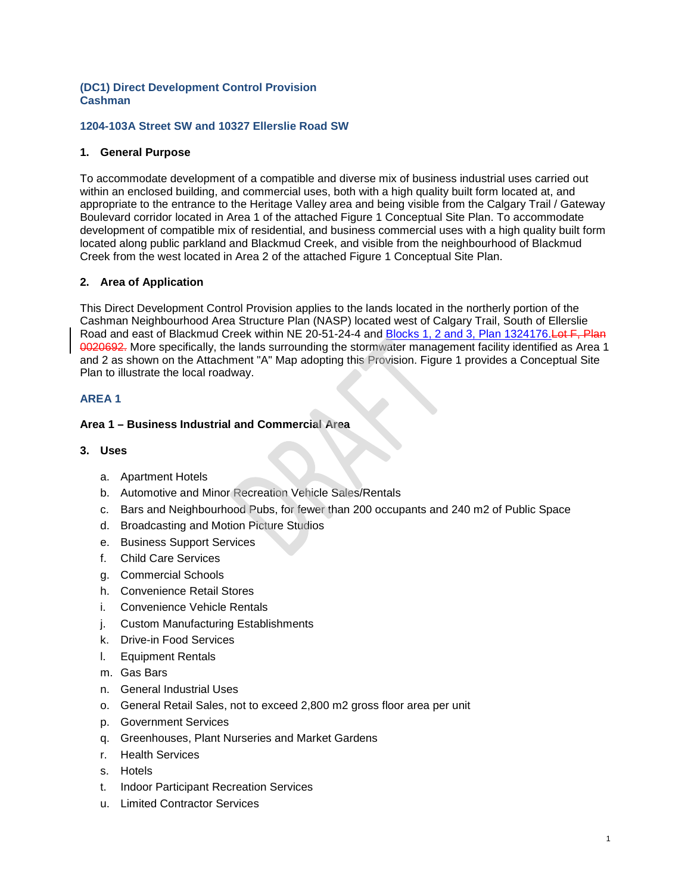## **(DC1) Direct Development Control Provision Cashman**

## **1204-103A Street SW and 10327 Ellerslie Road SW**

## **1. General Purpose**

To accommodate development of a compatible and diverse mix of business industrial uses carried out within an enclosed building, and commercial uses, both with a high quality built form located at, and appropriate to the entrance to the Heritage Valley area and being visible from the Calgary Trail / Gateway Boulevard corridor located in Area 1 of the attached Figure 1 Conceptual Site Plan. To accommodate development of compatible mix of residential, and business commercial uses with a high quality built form located along public parkland and Blackmud Creek, and visible from the neighbourhood of Blackmud Creek from the west located in Area 2 of the attached Figure 1 Conceptual Site Plan.

## **2. Area of Application**

This Direct Development Control Provision applies to the lands located in the northerly portion of the Cashman Neighbourhood Area Structure Plan (NASP) located west of Calgary Trail, South of Ellerslie Road and east of Blackmud Creek within NE 20-51-24-4 and Blocks 1, 2 and 3, Plan 1324176. Lot F, Plan 0020692. More specifically, the lands surrounding the stormwater management facility identified as Area 1 and 2 as shown on the Attachment "A" Map adopting this Provision. Figure 1 provides a Conceptual Site Plan to illustrate the local roadway.

## **AREA 1**

# **Area 1 – Business Industrial and Commercial Area**

#### **3. Uses**

- a. Apartment Hotels
- b. Automotive and Minor Recreation Vehicle Sales/Rentals
- c. Bars and Neighbourhood Pubs, for fewer than 200 occupants and 240 m2 of Public Space
- d. Broadcasting and Motion Picture Studios
- e. Business Support Services
- f. Child Care Services
- g. Commercial Schools
- h. Convenience Retail Stores
- i. Convenience Vehicle Rentals
- j. Custom Manufacturing Establishments
- k. Drive-in Food Services
- l. Equipment Rentals
- m. Gas Bars
- n. General Industrial Uses
- o. General Retail Sales, not to exceed 2,800 m2 gross floor area per unit
- p. Government Services
- q. Greenhouses, Plant Nurseries and Market Gardens
- r. Health Services
- s. Hotels
- t. Indoor Participant Recreation Services
- u. Limited Contractor Services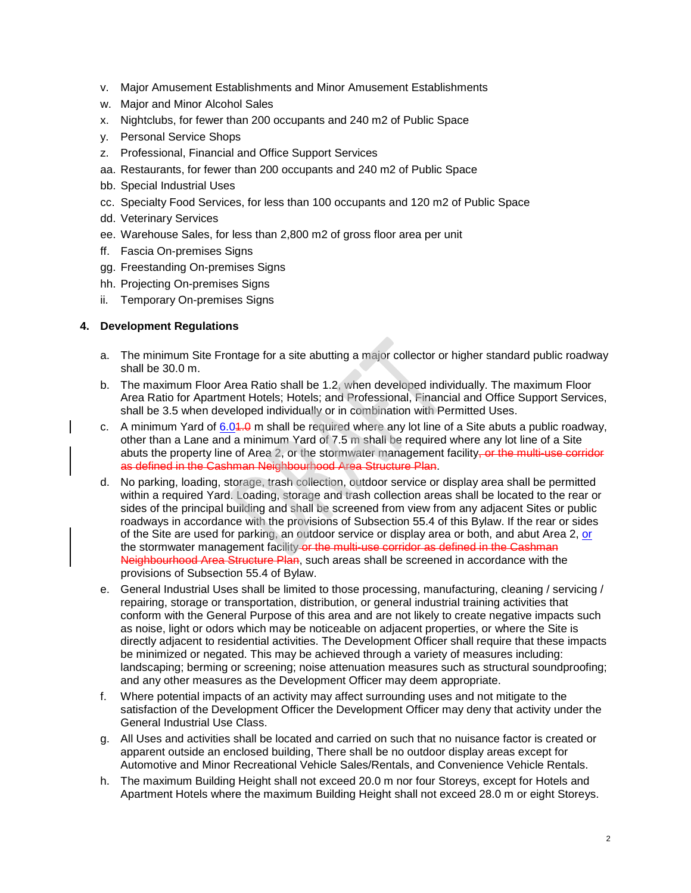- v. Major Amusement Establishments and Minor Amusement Establishments
- w. Major and Minor Alcohol Sales
- x. Nightclubs, for fewer than 200 occupants and 240 m2 of Public Space
- y. Personal Service Shops
- z. Professional, Financial and Office Support Services
- aa. Restaurants, for fewer than 200 occupants and 240 m2 of Public Space
- bb. Special Industrial Uses
- cc. Specialty Food Services, for less than 100 occupants and 120 m2 of Public Space
- dd. Veterinary Services
- ee. Warehouse Sales, for less than 2,800 m2 of gross floor area per unit
- ff. Fascia On-premises Signs
- gg. Freestanding On-premises Signs
- hh. Projecting On-premises Signs
- ii. Temporary On-premises Signs

## **4. Development Regulations**

- a. The minimum Site Frontage for a site abutting a major collector or higher standard public roadway shall be 30.0 m.
- b. The maximum Floor Area Ratio shall be 1.2, when developed individually. The maximum Floor Area Ratio for Apartment Hotels; Hotels; and Professional, Financial and Office Support Services, shall be 3.5 when developed individually or in combination with Permitted Uses.
- c. A minimum Yard of  $6.04.0$  m shall be required where any lot line of a Site abuts a public roadway, other than a Lane and a minimum Yard of 7.5 m shall be required where any lot line of a Site abuts the property line of Area 2, or the stormwater management facility, or the multi-use corridor as defined in the Cashman Neighbourhood Area Structure Plan.
- d. No parking, loading, storage, trash collection, outdoor service or display area shall be permitted within a required Yard. Loading, storage and trash collection areas shall be located to the rear or sides of the principal building and shall be screened from view from any adjacent Sites or public roadways in accordance with the provisions of Subsection 55.4 of this Bylaw. If the rear or sides of the Site are used for parking, an outdoor service or display area or both, and abut Area 2, or the stormwater management facility or the multi-use corridor as defined in the Cashman Neighbourhood Area Structure Plan, such areas shall be screened in accordance with the provisions of Subsection 55.4 of Bylaw.
- e. General Industrial Uses shall be limited to those processing, manufacturing, cleaning / servicing / repairing, storage or transportation, distribution, or general industrial training activities that conform with the General Purpose of this area and are not likely to create negative impacts such as noise, light or odors which may be noticeable on adjacent properties, or where the Site is directly adjacent to residential activities. The Development Officer shall require that these impacts be minimized or negated. This may be achieved through a variety of measures including: landscaping; berming or screening; noise attenuation measures such as structural soundproofing; and any other measures as the Development Officer may deem appropriate.
- f. Where potential impacts of an activity may affect surrounding uses and not mitigate to the satisfaction of the Development Officer the Development Officer may deny that activity under the General Industrial Use Class.
- g. All Uses and activities shall be located and carried on such that no nuisance factor is created or apparent outside an enclosed building, There shall be no outdoor display areas except for Automotive and Minor Recreational Vehicle Sales/Rentals, and Convenience Vehicle Rentals.
- h. The maximum Building Height shall not exceed 20.0 m nor four Storeys, except for Hotels and Apartment Hotels where the maximum Building Height shall not exceed 28.0 m or eight Storeys.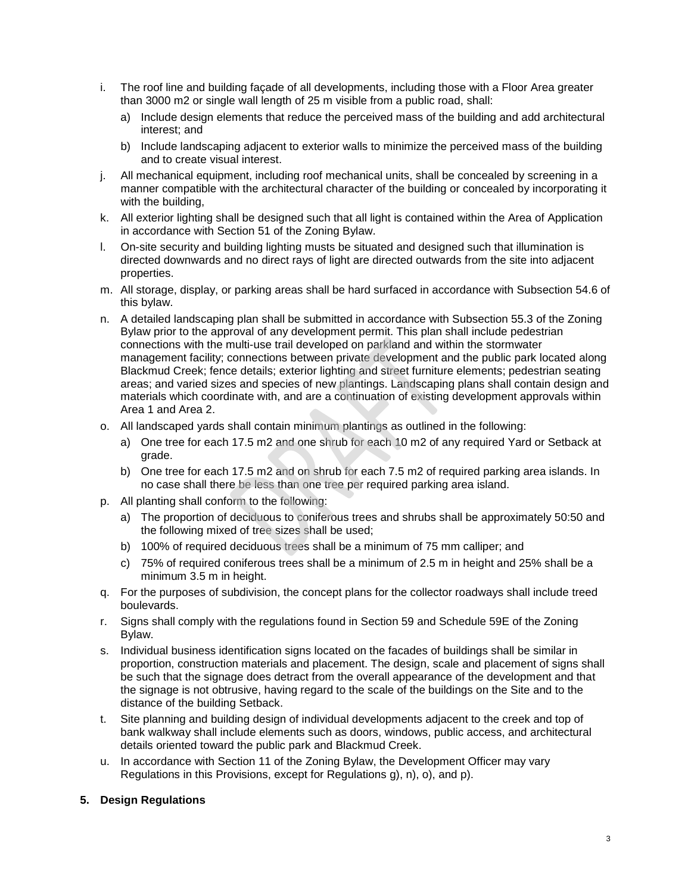- i. The roof line and building façade of all developments, including those with a Floor Area greater than 3000 m2 or single wall length of 25 m visible from a public road, shall:
	- a) Include design elements that reduce the perceived mass of the building and add architectural interest; and
	- b) Include landscaping adjacent to exterior walls to minimize the perceived mass of the building and to create visual interest.
- j. All mechanical equipment, including roof mechanical units, shall be concealed by screening in a manner compatible with the architectural character of the building or concealed by incorporating it with the building,
- k. All exterior lighting shall be designed such that all light is contained within the Area of Application in accordance with Section 51 of the Zoning Bylaw.
- l. On-site security and building lighting musts be situated and designed such that illumination is directed downwards and no direct rays of light are directed outwards from the site into adjacent properties.
- m. All storage, display, or parking areas shall be hard surfaced in accordance with Subsection 54.6 of this bylaw.
- n. A detailed landscaping plan shall be submitted in accordance with Subsection 55.3 of the Zoning Bylaw prior to the approval of any development permit. This plan shall include pedestrian connections with the multi-use trail developed on parkland and within the stormwater management facility; connections between private development and the public park located along Blackmud Creek; fence details; exterior lighting and street furniture elements; pedestrian seating areas; and varied sizes and species of new plantings. Landscaping plans shall contain design and materials which coordinate with, and are a continuation of existing development approvals within Area 1 and Area 2.
- o. All landscaped yards shall contain minimum plantings as outlined in the following:
	- a) One tree for each 17.5 m2 and one shrub for each 10 m2 of any required Yard or Setback at grade.
	- b) One tree for each 17.5 m2 and on shrub for each 7.5 m2 of required parking area islands. In no case shall there be less than one tree per required parking area island.
- p. All planting shall conform to the following:
	- a) The proportion of deciduous to coniferous trees and shrubs shall be approximately 50:50 and the following mixed of tree sizes shall be used;
	- b) 100% of required deciduous trees shall be a minimum of 75 mm calliper; and
	- c) 75% of required coniferous trees shall be a minimum of 2.5 m in height and 25% shall be a minimum 3.5 m in height.
- q. For the purposes of subdivision, the concept plans for the collector roadways shall include treed boulevards.
- r. Signs shall comply with the regulations found in Section 59 and Schedule 59E of the Zoning Bylaw.
- s. Individual business identification signs located on the facades of buildings shall be similar in proportion, construction materials and placement. The design, scale and placement of signs shall be such that the signage does detract from the overall appearance of the development and that the signage is not obtrusive, having regard to the scale of the buildings on the Site and to the distance of the building Setback.
- t. Site planning and building design of individual developments adjacent to the creek and top of bank walkway shall include elements such as doors, windows, public access, and architectural details oriented toward the public park and Blackmud Creek.
- u. In accordance with Section 11 of the Zoning Bylaw, the Development Officer may vary Regulations in this Provisions, except for Regulations g), n), o), and p).

# **5. Design Regulations**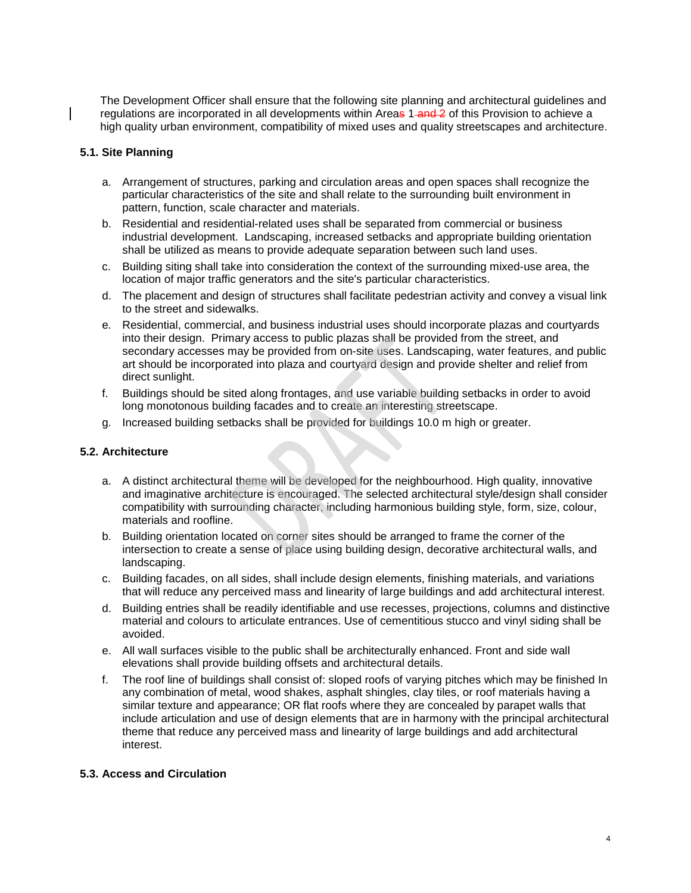The Development Officer shall ensure that the following site planning and architectural guidelines and regulations are incorporated in all developments within Areas 1-and 2 of this Provision to achieve a high quality urban environment, compatibility of mixed uses and quality streetscapes and architecture.

## **5.1. Site Planning**

- a. Arrangement of structures, parking and circulation areas and open spaces shall recognize the particular characteristics of the site and shall relate to the surrounding built environment in pattern, function, scale character and materials.
- b. Residential and residential-related uses shall be separated from commercial or business industrial development. Landscaping, increased setbacks and appropriate building orientation shall be utilized as means to provide adequate separation between such land uses.
- c. Building siting shall take into consideration the context of the surrounding mixed-use area, the location of major traffic generators and the site's particular characteristics.
- d. The placement and design of structures shall facilitate pedestrian activity and convey a visual link to the street and sidewalks.
- e. Residential, commercial, and business industrial uses should incorporate plazas and courtyards into their design. Primary access to public plazas shall be provided from the street, and secondary accesses may be provided from on-site uses. Landscaping, water features, and public art should be incorporated into plaza and courtyard design and provide shelter and relief from direct sunlight.
- f. Buildings should be sited along frontages, and use variable building setbacks in order to avoid long monotonous building facades and to create an interesting streetscape.
- g. Increased building setbacks shall be provided for buildings 10.0 m high or greater.

## **5.2. Architecture**

- a. A distinct architectural theme will be developed for the neighbourhood. High quality, innovative and imaginative architecture is encouraged. The selected architectural style/design shall consider compatibility with surrounding character, including harmonious building style, form, size, colour, materials and roofline.
- b. Building orientation located on corner sites should be arranged to frame the corner of the intersection to create a sense of place using building design, decorative architectural walls, and landscaping.
- c. Building facades, on all sides, shall include design elements, finishing materials, and variations that will reduce any perceived mass and linearity of large buildings and add architectural interest.
- d. Building entries shall be readily identifiable and use recesses, projections, columns and distinctive material and colours to articulate entrances. Use of cementitious stucco and vinyl siding shall be avoided.
- e. All wall surfaces visible to the public shall be architecturally enhanced. Front and side wall elevations shall provide building offsets and architectural details.
- f. The roof line of buildings shall consist of: sloped roofs of varying pitches which may be finished In any combination of metal, wood shakes, asphalt shingles, clay tiles, or roof materials having a similar texture and appearance; OR flat roofs where they are concealed by parapet walls that include articulation and use of design elements that are in harmony with the principal architectural theme that reduce any perceived mass and linearity of large buildings and add architectural interest.

# **5.3. Access and Circulation**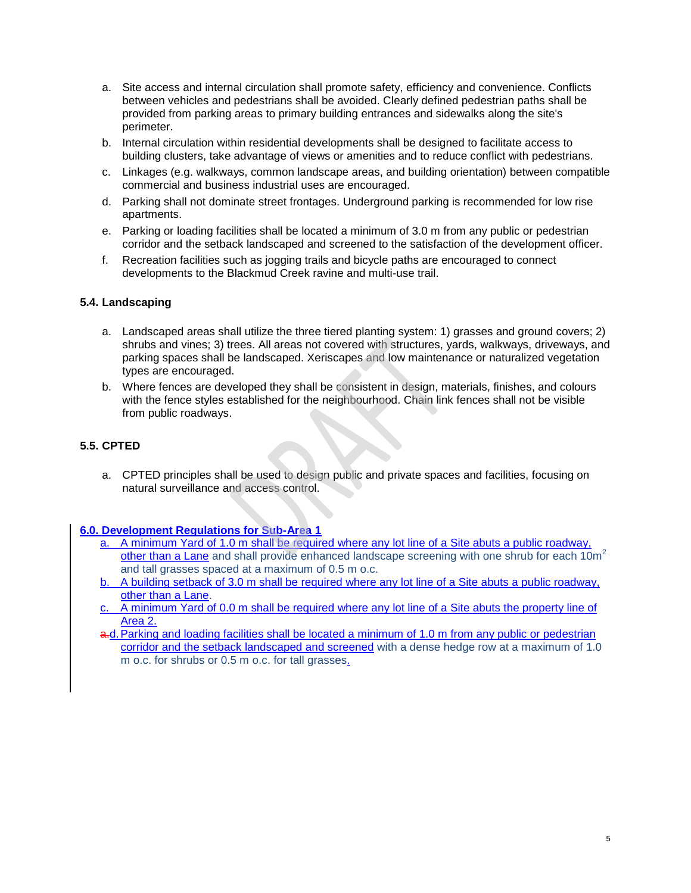- a. Site access and internal circulation shall promote safety, efficiency and convenience. Conflicts between vehicles and pedestrians shall be avoided. Clearly defined pedestrian paths shall be provided from parking areas to primary building entrances and sidewalks along the site's perimeter.
- b. Internal circulation within residential developments shall be designed to facilitate access to building clusters, take advantage of views or amenities and to reduce conflict with pedestrians.
- c. Linkages (e.g. walkways, common landscape areas, and building orientation) between compatible commercial and business industrial uses are encouraged.
- d. Parking shall not dominate street frontages. Underground parking is recommended for low rise apartments.
- e. Parking or loading facilities shall be located a minimum of 3.0 m from any public or pedestrian corridor and the setback landscaped and screened to the satisfaction of the development officer.
- f. Recreation facilities such as jogging trails and bicycle paths are encouraged to connect developments to the Blackmud Creek ravine and multi-use trail.

# **5.4. Landscaping**

- a. Landscaped areas shall utilize the three tiered planting system: 1) grasses and ground covers; 2) shrubs and vines; 3) trees. All areas not covered with structures, yards, walkways, driveways, and parking spaces shall be landscaped. Xeriscapes and low maintenance or naturalized vegetation types are encouraged.
- b. Where fences are developed they shall be consistent in design, materials, finishes, and colours with the fence styles established for the neighbourhood. Chain link fences shall not be visible from public roadways.

# **5.5. CPTED**

a. CPTED principles shall be used to design public and private spaces and facilities, focusing on natural surveillance and access control.

#### **6.0. Development Regulations for Sub-Area 1**

- a. A minimum Yard of 1.0 m shall be required where any lot line of a Site abuts a public roadway, other than a Lane and shall provide enhanced landscape screening with one shrub for each  $10<sup>m²</sup>$ and tall grasses spaced at a maximum of 0.5 m o.c.
- b. A building setback of 3.0 m shall be required where any lot line of a Site abuts a public roadway, other than a Lane.
- c. A minimum Yard of 0.0 m shall be required where any lot line of a Site abuts the property line of Area 2.
- a.d. Parking and loading facilities shall be located a minimum of 1.0 m from any public or pedestrian corridor and the setback landscaped and screened with a dense hedge row at a maximum of 1.0 m o.c. for shrubs or 0.5 m o.c. for tall grasses.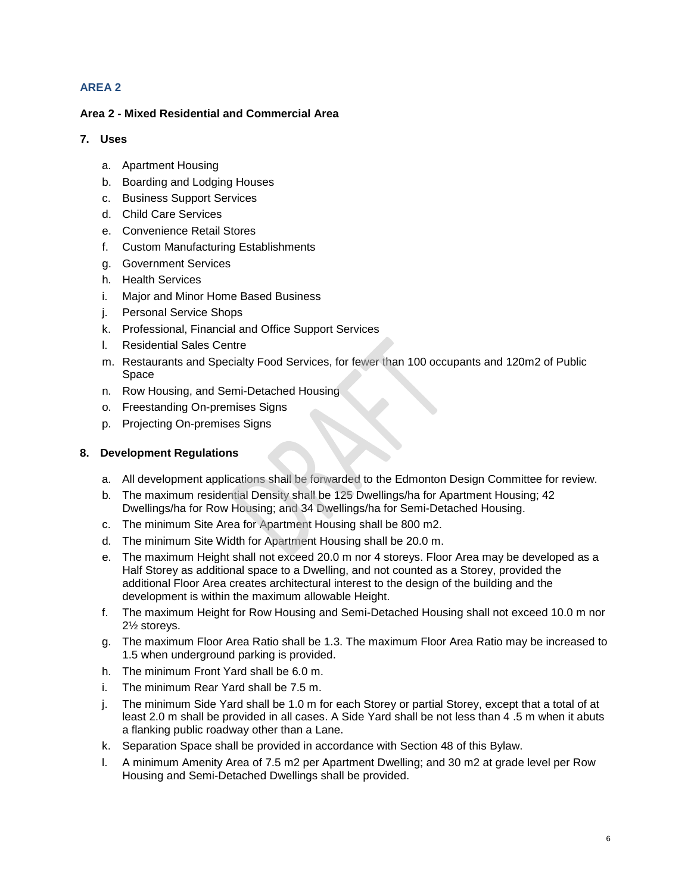# **AREA 2**

# **Area 2 - Mixed Residential and Commercial Area**

# **7. Uses**

- a. Apartment Housing
- b. Boarding and Lodging Houses
- c. Business Support Services
- d. Child Care Services
- e. Convenience Retail Stores
- f. Custom Manufacturing Establishments
- g. Government Services
- h. Health Services
- i. Major and Minor Home Based Business
- j. Personal Service Shops
- k. Professional, Financial and Office Support Services
- l. Residential Sales Centre
- m. Restaurants and Specialty Food Services, for fewer than 100 occupants and 120m2 of Public Space
- n. Row Housing, and Semi-Detached Housing
- o. Freestanding On-premises Signs
- p. Projecting On-premises Signs

# **8. Development Regulations**

- a. All development applications shall be forwarded to the Edmonton Design Committee for review.
- b. The maximum residential Density shall be 125 Dwellings/ha for Apartment Housing; 42 Dwellings/ha for Row Housing; and 34 Dwellings/ha for Semi-Detached Housing.
- c. The minimum Site Area for Apartment Housing shall be 800 m2.
- d. The minimum Site Width for Apartment Housing shall be 20.0 m.
- e. The maximum Height shall not exceed 20.0 m nor 4 storeys. Floor Area may be developed as a Half Storey as additional space to a Dwelling, and not counted as a Storey, provided the additional Floor Area creates architectural interest to the design of the building and the development is within the maximum allowable Height.
- f. The maximum Height for Row Housing and Semi-Detached Housing shall not exceed 10.0 m nor 2½ storeys.
- g. The maximum Floor Area Ratio shall be 1.3. The maximum Floor Area Ratio may be increased to 1.5 when underground parking is provided.
- h. The minimum Front Yard shall be 6.0 m.
- i. The minimum Rear Yard shall be 7.5 m.
- j. The minimum Side Yard shall be 1.0 m for each Storey or partial Storey, except that a total of at least 2.0 m shall be provided in all cases. A Side Yard shall be not less than 4 .5 m when it abuts a flanking public roadway other than a Lane.
- k. Separation Space shall be provided in accordance with Section 48 of this Bylaw.
- l. A minimum Amenity Area of 7.5 m2 per Apartment Dwelling; and 30 m2 at grade level per Row Housing and Semi-Detached Dwellings shall be provided.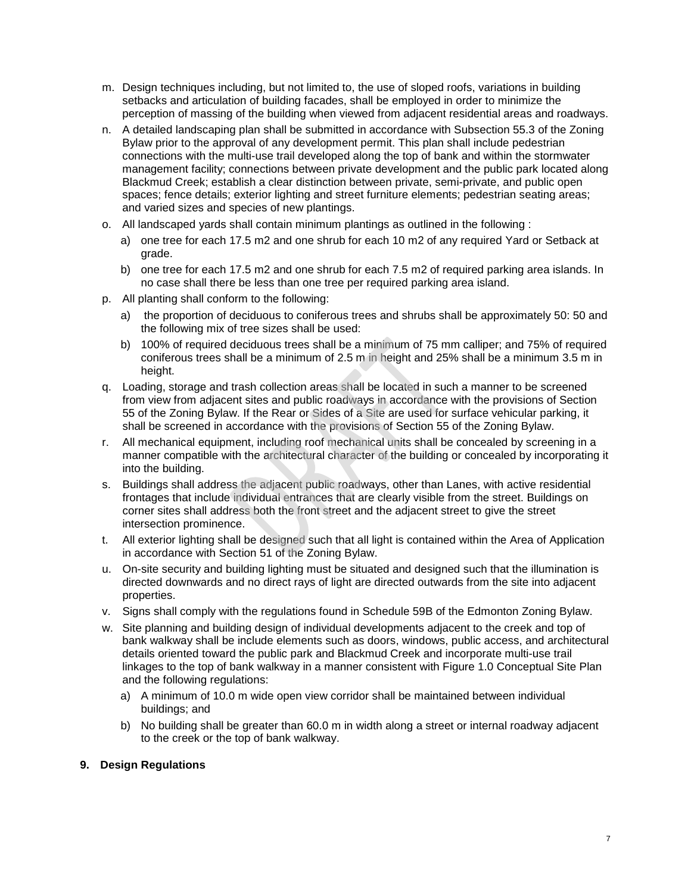- m. Design techniques including, but not limited to, the use of sloped roofs, variations in building setbacks and articulation of building facades, shall be employed in order to minimize the perception of massing of the building when viewed from adjacent residential areas and roadways.
- n. A detailed landscaping plan shall be submitted in accordance with Subsection 55.3 of the Zoning Bylaw prior to the approval of any development permit. This plan shall include pedestrian connections with the multi-use trail developed along the top of bank and within the stormwater management facility; connections between private development and the public park located along Blackmud Creek; establish a clear distinction between private, semi-private, and public open spaces; fence details; exterior lighting and street furniture elements; pedestrian seating areas; and varied sizes and species of new plantings.
- o. All landscaped yards shall contain minimum plantings as outlined in the following :
	- a) one tree for each 17.5 m2 and one shrub for each 10 m2 of any required Yard or Setback at grade.
	- b) one tree for each 17.5 m2 and one shrub for each 7.5 m2 of required parking area islands. In no case shall there be less than one tree per required parking area island.
- p. All planting shall conform to the following:
	- a) the proportion of deciduous to coniferous trees and shrubs shall be approximately 50: 50 and the following mix of tree sizes shall be used:
	- b) 100% of required deciduous trees shall be a minimum of 75 mm calliper; and 75% of required coniferous trees shall be a minimum of 2.5 m in height and 25% shall be a minimum 3.5 m in height.
- q. Loading, storage and trash collection areas shall be located in such a manner to be screened from view from adjacent sites and public roadways in accordance with the provisions of Section 55 of the Zoning Bylaw. If the Rear or Sides of a Site are used for surface vehicular parking, it shall be screened in accordance with the provisions of Section 55 of the Zoning Bylaw.
- r. All mechanical equipment, including roof mechanical units shall be concealed by screening in a manner compatible with the architectural character of the building or concealed by incorporating it into the building.
- s. Buildings shall address the adjacent public roadways, other than Lanes, with active residential frontages that include individual entrances that are clearly visible from the street. Buildings on corner sites shall address both the front street and the adjacent street to give the street intersection prominence.
- t. All exterior lighting shall be designed such that all light is contained within the Area of Application in accordance with Section 51 of the Zoning Bylaw.
- u. On-site security and building lighting must be situated and designed such that the illumination is directed downwards and no direct rays of light are directed outwards from the site into adjacent properties.
- v. Signs shall comply with the regulations found in Schedule 59B of the Edmonton Zoning Bylaw.
- w. Site planning and building design of individual developments adjacent to the creek and top of bank walkway shall be include elements such as doors, windows, public access, and architectural details oriented toward the public park and Blackmud Creek and incorporate multi-use trail linkages to the top of bank walkway in a manner consistent with Figure 1.0 Conceptual Site Plan and the following regulations:
	- a) A minimum of 10.0 m wide open view corridor shall be maintained between individual buildings; and
	- b) No building shall be greater than 60.0 m in width along a street or internal roadway adjacent to the creek or the top of bank walkway.

#### **9. Design Regulations**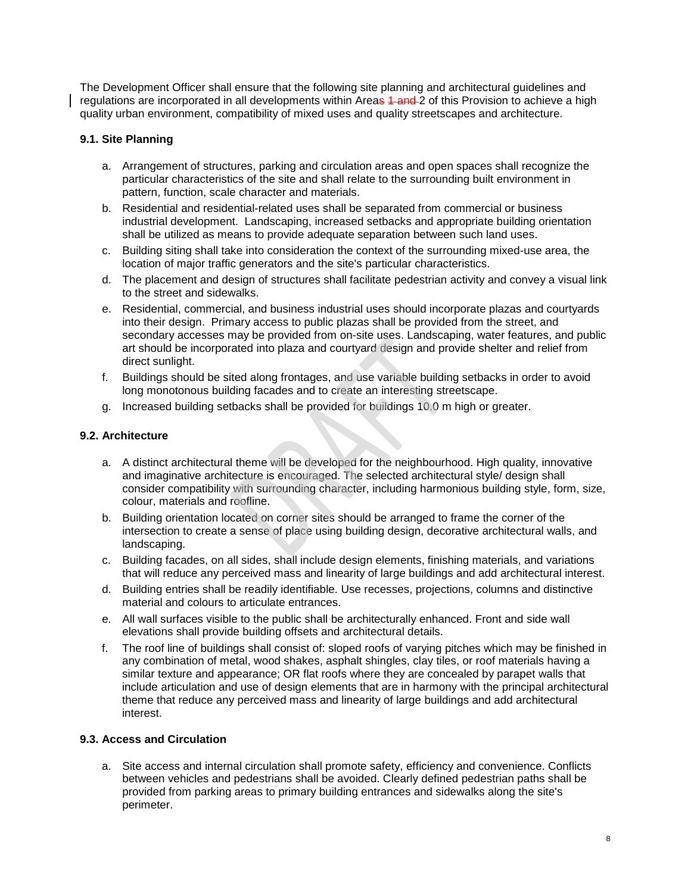The Development Officer shall ensure that the following site planning and architectural guidelines and regulations are incorporated in all developments within Areas 1 and 2 of this Provision to achieve a high quality urban environment, compatibility of mixed uses and quality streetscapes and architecture.

## **9.1. Site Planning**

- a. Arrangement of structures, parking and circulation areas and open spaces shall recognize the particular characteristics of the site and shall relate to the surrounding built environment in pattern, function, scale character and materials.
- b. Residential and residential-related uses shall be separated from commercial or business industrial development. Landscaping, increased setbacks and appropriate building orientation shall be utilized as means to provide adequate separation between such land uses.
- c. Building siting shall take into consideration the context of the surrounding mixed-use area, the location of major traffic generators and the site's particular characteristics.
- d. The placement and design of structures shall facilitate pedestrian activity and convey a visual link to the street and sidewalks.
- e. Residential, commercial, and business industrial uses should incorporate plazas and courtyards into their design. Primary access to public plazas shall be provided from the street, and secondary accesses may be provided from on-site uses. Landscaping, water features, and public art should be incorporated into plaza and courtyard design and provide shelter and relief from direct sunlight.
- f. Buildings should be sited along frontages, and use variable building setbacks in order to avoid long monotonous building facades and to create an interesting streetscape.
- g. Increased building setbacks shall be provided for buildings 10.0 m high or greater.

## **9.2. Architecture**

- a. A distinct architectural theme will be developed for the neighbourhood. High quality, innovative and imaginative architecture is encouraged. The selected architectural style/ design shall consider compatibility with surrounding character, including harmonious building style, form, size, colour, materials and roofline.
- b. Building orientation located on corner sites should be arranged to frame the corner of the intersection to create a sense of place using building design, decorative architectural walls, and landscaping.
- c. Building facades, on all sides, shall include design elements, finishing materials, and variations that will reduce any perceived mass and linearity of large buildings and add architectural interest.
- d. Building entries shall be readily identifiable. Use recesses, projections, columns and distinctive material and colours to articulate entrances.
- e. All wall surfaces visible to the public shall be architecturally enhanced. Front and side wall elevations shall provide building offsets and architectural details.
- f. The roof line of buildings shall consist of: sloped roofs of varying pitches which may be finished in any combination of metal, wood shakes, asphalt shingles, clay tiles, or roof materials having a similar texture and appearance; OR flat roofs where they are concealed by parapet walls that include articulation and use of design elements that are in harmony with the principal architectural theme that reduce any perceived mass and linearity of large buildings and add architectural interest.

#### **9.3. Access and Circulation**

a. Site access and internal circulation shall promote safety, efficiency and convenience. Conflicts between vehicles and pedestrians shall be avoided. Clearly defined pedestrian paths shall be provided from parking areas to primary building entrances and sidewalks along the site's perimeter.